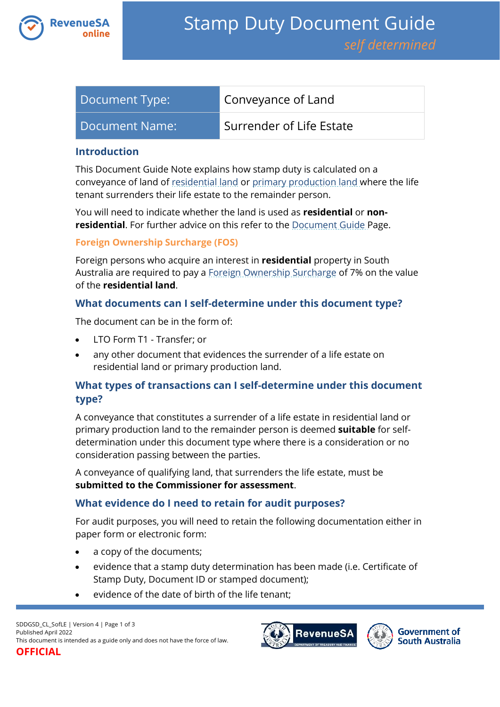

| Document Type: | Conveyance of Land       |
|----------------|--------------------------|
| Document Name: | Surrender of Life Estate |

### **Introduction**

This Document Guide Note explains how stamp duty is calculated on a conveyance of land of [residential land](https://www.revenuesa.sa.gov.au/stampduty/stamp-duty-document-guide#RR&PP) or [primary production land](https://www.revenuesa.sa.gov.au/stampduty/stamp-duty-document-guide#RR&PP) where the life tenant surrenders their life estate to the remainder person.

You will need to indicate whether the land is used as **residential** or **nonresidential**. For further advice on this refer to the [Document Guide](https://www.revenuesa.sa.gov.au/stampduty/stamp-duty-document-guide#Glossary) Page.

#### **Foreign Ownership Surcharge (FOS)**

Foreign persons who acquire an interest in **residential** property in South Australia are required to pay a [Foreign Ownership Surcharge](https://www.revenuesa.sa.gov.au/stampduty/stamp-duty-document-guide#FOS) of 7% on the value of the **residential land**.

### **What documents can I self-determine under this document type?**

The document can be in the form of:

- LTO Form T1 Transfer; or
- any other document that evidences the surrender of a life estate on residential land or primary production land.

# **What types of transactions can I self-determine under this document type?**

A conveyance that constitutes a surrender of a life estate in residential land or primary production land to the remainder person is deemed **suitable** for selfdetermination under this document type where there is a consideration or no consideration passing between the parties.

A conveyance of qualifying land, that surrenders the life estate, must be **submitted to the Commissioner for assessment**.

## **What evidence do I need to retain for audit purposes?**

For audit purposes, you will need to retain the following documentation either in paper form or electronic form:

- a copy of the documents;
- evidence that a stamp duty determination has been made (i.e. Certificate of Stamp Duty, Document ID or stamped document);
- evidence of the date of birth of the life tenant;



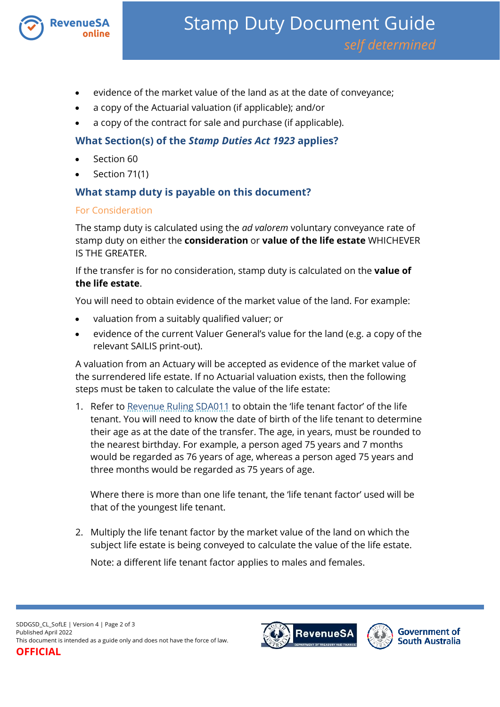

- evidence of the market value of the land as at the date of conveyance;
- a copy of the Actuarial valuation (if applicable); and/or
- a copy of the contract for sale and purchase (if applicable).

# **What Section(s) of the** *Stamp Duties Act 1923* **applies?**

- Section 60
- Section 71(1)

# **What stamp duty is payable on this document?**

### For Consideration

The stamp duty is calculated using the *ad valorem* voluntary conveyance rate of stamp duty on either the **consideration** or **value of the life estate** WHICHEVER IS THE GREATER.

If the transfer is for no consideration, stamp duty is calculated on the **value of the life estate**.

You will need to obtain evidence of the market value of the land. For example:

- valuation from a suitably qualified valuer; or
- evidence of the current Valuer General's value for the land (e.g. a copy of the relevant SAILIS print-out).

A valuation from an Actuary will be accepted as evidence of the market value of the surrendered life estate. If no Actuarial valuation exists, then the following steps must be taken to calculate the value of the life estate:

1. Refer to [Revenue Ruling SDA011](http://www.revenuesa.sa.gov.au/rulings/SDA011.pdf) to obtain the 'life tenant factor' of the life tenant. You will need to know the date of birth of the life tenant to determine their age as at the date of the transfer. The age, in years, must be rounded to the nearest birthday. For example, a person aged 75 years and 7 months would be regarded as 76 years of age, whereas a person aged 75 years and three months would be regarded as 75 years of age.

Where there is more than one life tenant, the 'life tenant factor' used will be that of the youngest life tenant.

2. Multiply the life tenant factor by the market value of the land on which the subject life estate is being conveyed to calculate the value of the life estate.

Note: a different life tenant factor applies to males and females.